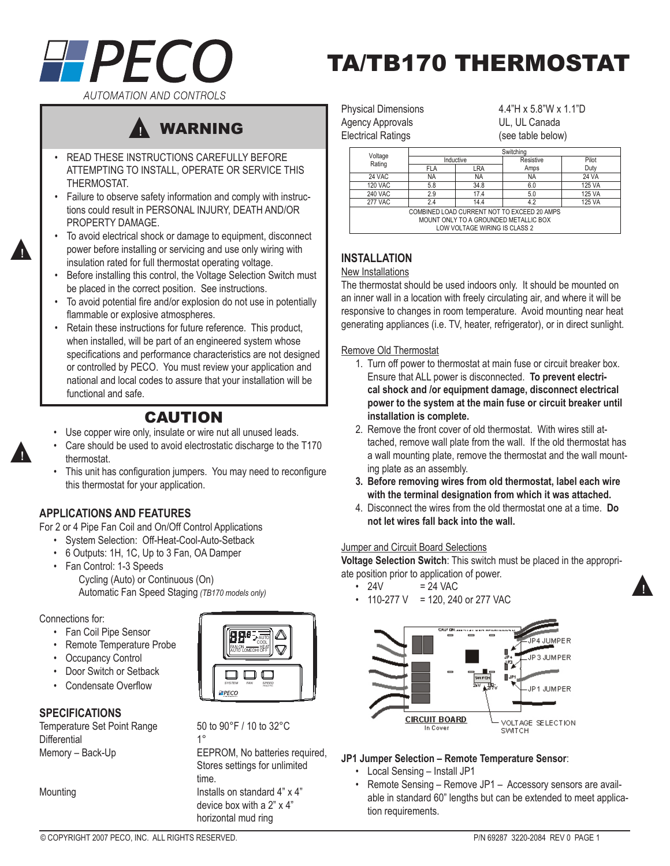

# TA/TB170 THERMOSTAT

**AUTOMATION AND CONTROLS** 



- READ THESE INSTRUCTIONS CAREFULLY BEFORE ATTEMPTING TO INSTALL, OPERATE OR SERVICE THIS THERMOSTAT. •
- Failure to observe safety information and comply with instruc-• tions could result in PERSONAL INJURY, DEATH AND/OR PROPERTY DAMAGE.
- To avoid electrical shock or damage to equipment, disconnect power before installing or servicing and use only wiring with insulation rated for full thermostat operating voltage. •
- Before installing this control, the Voltage Selection Switch must be placed in the correct position. See instructions. •
- To avoid potential fire and/or explosion do not use in potentially flammable or explosive atmospheres. •
- Retain these instructions for future reference. This product, when installed, will be part of an engineered system whose specifications and performance characteristics are not designed or controlled by PECO. You must review your application and national and local codes to assure that your installation will be functional and safe. •

## CAUTION

- Use copper wire only, insulate or wire nut all unused leads. •
- Care should be used to avoid electrostatic discharge to the T170 thermostat. •
- This unit has configuration jumpers. You may need to reconfigure this thermostat for your application. •

## **applications and features**

For 2 or 4 Pipe Fan Coil and On/Off Control Applications

- System Selection: Off-Heat-Cool-Auto-Setback
- 6 Outputs: 1H, 1C, Up to 3 Fan, OA Damper •
- Fan Control: 1-3 Speeds Cycling (Auto) or Continuous (On) Automatic Fan Speed Staging *(TB170 models only)*

#### Connections for:

- Fan Coil Pipe Sensor
- Remote Temperature Probe
- Occupancy Control •
- Door Switch or Setback •
- Condensate Overflow •

## **Specifications**

Temperature Set Point Range  $50 \text{ to } 90^{\circ}$  F / 10 to 32 $^{\circ}$ C<br>Differential Differential<br>Memory – Back-Up



EEPROM, No batteries required, Stores settings for unlimited time. Mounting **Installs on standard 4" x 4"** device box with a 2" x 4" horizontal mud ring

Agency Approvals **Contact Contact Contact Contact Contact Contact Contact Contact Contact Contact Contact Contact Contact Contact Contact Contact Contact Contact Contact Contact Contact Contact Contact Contact Contact Cont** Electrical Ratings (see table below)

Physical Dimensions 4.4"H x 5.8"W x 1.1"D

| Voltage<br>Rating                           | Switching  |      |           |        |  |  |  |
|---------------------------------------------|------------|------|-----------|--------|--|--|--|
|                                             | Inductive  |      | Resistive | Pilot  |  |  |  |
|                                             | <b>FLA</b> | LRA  | Amps      | Duty   |  |  |  |
| 24 VAC                                      | <b>NA</b>  | NA   | <b>NA</b> | 24 VA  |  |  |  |
| <b>120 VAC</b>                              | 5.8        | 34.8 | 6.0       | 125 VA |  |  |  |
| <b>240 VAC</b>                              | 2.9        | 17.4 | 5.0       | 125 VA |  |  |  |
| <b>277 VAC</b>                              | 2.4        | 14.4 | 4.2       | 125 VA |  |  |  |
| COMBINED LOAD CURRENT NOT TO EXCEED 20 AMPS |            |      |           |        |  |  |  |
| MOUNT ONLY TO A GROUNDED METALLIC BOX       |            |      |           |        |  |  |  |
| LOW VOLTAGE WIRING IS CLASS 2               |            |      |           |        |  |  |  |

## **INSTALLATION**

#### New Installations

The thermostat should be used indoors only. It should be mounted on an inner wall in a location with freely circulating air, and where it will be responsive to changes in room temperature. Avoid mounting near heat generating appliances (i.e. TV, heater, refrigerator), or in direct sunlight.

#### Remove Old Thermostat

- 1. Turn off power to thermostat at main fuse or circuit breaker box. Ensure that ALL power is disconnected. **To prevent electrical shock and /or equipment damage, disconnect electrical power to the system at the main fuse or circuit breaker until installation is complete.**
- 2. Remove the front cover of old thermostat. With wires still attached, remove wall plate from the wall. If the old thermostat has a wall mounting plate, remove the thermostat and the wall mounting plate as an assembly.
- **Before removing wires from old thermostat, label each wire 3. with the terminal designation from which it was attached.**
- Disconnect the wires from the old thermostat one at a time. **Do**  4. **not let wires fall back into the wall.**

## **Jumper and Circuit Board Selections**

**Voltage Selection Switch**: This switch must be placed in the appropriate position prior to application of power.

- $= 24$  VAC  $\cdot$  24V
- $\cdot$  110-277 V = 120, 240 or 277 VAC



## **JP1 Jumper Selection – Remote Temperature Sensor**:

- Local Sensing Install JP1
- Remote Sensing Remove JP1 Accessory sensors are available in standard 60" lengths but can be extended to meet application requirements. •

▲**!**



▲**!**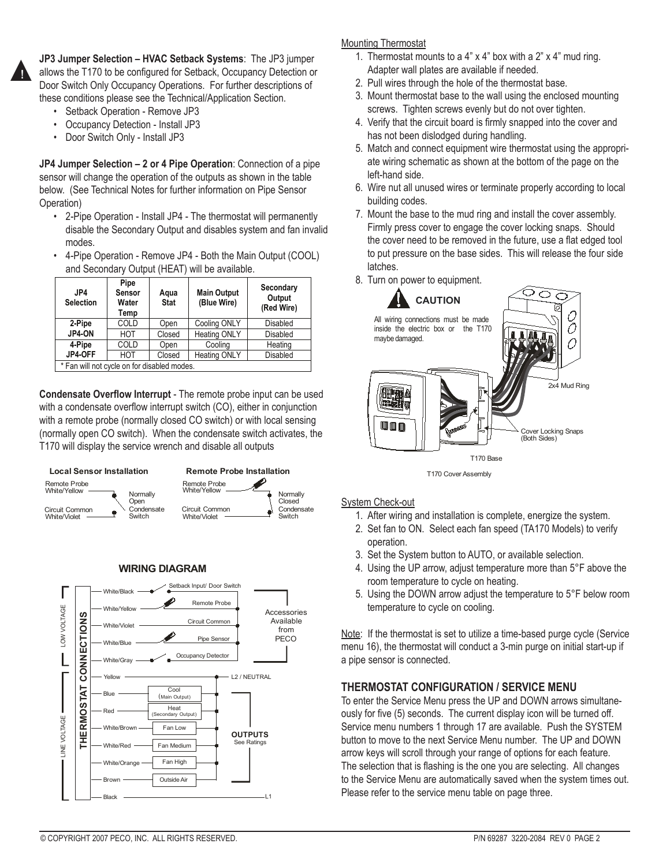

**JP3 Jumper Selection – HVAC Setback Systems**: The JP3 jumper allows the T170 to be configured for Setback, Occupancy Detection or Door Switch Only Occupancy Operations. For further descriptions of these conditions please see the Technical/Application Section.

- Setback Operation Remove JP3 •
- Occupancy Detection Install JP3 •
- Door Switch Only Install JP3 •

**JP4 Jumper Selection – 2 or 4 Pipe Operation**: Connection of a pipe sensor will change the operation of the outputs as shown in the table below. (See Technical Notes for further information on Pipe Sensor Operation)

- 2-Pipe Operation Install JP4 The thermostat will permanently disable the Secondary Output and disables system and fan invalid modes.
- 4-Pipe Operation Remove JP4 Both the Main Output (COOL) and Secondary Output (HEAT) will be available. •

| JP4<br><b>Selection</b>                     | Pipe<br>Sensor<br>Water<br>Temp | Aqua<br><b>Stat</b>           | <b>Main Output</b><br>(Blue Wire) | Secondary<br>Output<br>(Red Wire) |  |  |
|---------------------------------------------|---------------------------------|-------------------------------|-----------------------------------|-----------------------------------|--|--|
| 2-Pipe                                      | COLD                            | Open                          | Cooling ONLY                      | <b>Disabled</b>                   |  |  |
| JP4-ON                                      | HOT                             | Closed                        | <b>Heating ONLY</b>               | <b>Disabled</b>                   |  |  |
| 4-Pipe<br>COLD                              |                                 | Open                          | Cooling                           | Heating                           |  |  |
| JP4-OFF                                     | <b>HOT</b>                      | <b>Heating ONLY</b><br>Closed |                                   | <b>Disabled</b>                   |  |  |
| * Fan will not cycle on for disabled modes. |                                 |                               |                                   |                                   |  |  |

**Condensate Overflow Interrupt** - The remote probe input can be used with a condensate overflow interrupt switch (CO), either in conjunction with a remote probe (normally closed CO switch) or with local sensing (normally open CO switch). When the condensate switch activates, the T170 will display the service wrench and disable all outputs



#### **WIRING DIAGRAM**



#### Mounting Thermostat

- 1. Thermostat mounts to a  $4$ " x  $4$ " box with a  $2$ " x  $4$ " mud ring. Adapter wall plates are available if needed.
- 2. Pull wires through the hole of the thermostat base.
- 3. Mount thermostat base to the wall using the enclosed mounting screws. Tighten screws evenly but do not over tighten.
- 4. Verify that the circuit board is firmly snapped into the cover and has not been dislodged during handling.
- 5. Match and connect equipment wire thermostat using the appropriate wiring schematic as shown at the bottom of the page on the left-hand side.
- 6. Wire nut all unused wires or terminate properly according to local building codes.
- 7. Mount the base to the mud ring and install the cover assembly. Firmly press cover to engage the cover locking snaps. Should the cover need to be removed in the future, use a flat edged tool to put pressure on the base sides. This will release the four side latches.
- 8. Turn on power to equipment.



T170 Cover Assembly

#### System Check-out

- 1. After wiring and installation is complete, energize the system.
- 2. Set fan to ON. Select each fan speed (TA170 Models) to verify operation.
- 3. Set the System button to AUTO, or available selection.
- 4. Using the UP arrow, adjust temperature more than 5°F above the room temperature to cycle on heating.
- 5. Using the DOWN arrow adjust the temperature to 5°F below room temperature to cycle on cooling.

Note: If the thermostat is set to utilize a time-based purge cycle (Service menu 16), the thermostat will conduct a 3-min purge on initial start-up if a pipe sensor is connected.

## **THERMOSTAT CONFIGURATION / SERVICE MENU**

To enter the Service Menu press the UP and DOWN arrows simultaneously for five (5) seconds. The current display icon will be turned off. Service menu numbers 1 through 17 are available. Push the SYSTEM button to move to the next Service Menu number. The UP and DOWN arrow keys will scroll through your range of options for each feature. The selection that is flashing is the one you are selecting. All changes to the Service Menu are automatically saved when the system times out. Please refer to the service menu table on page three.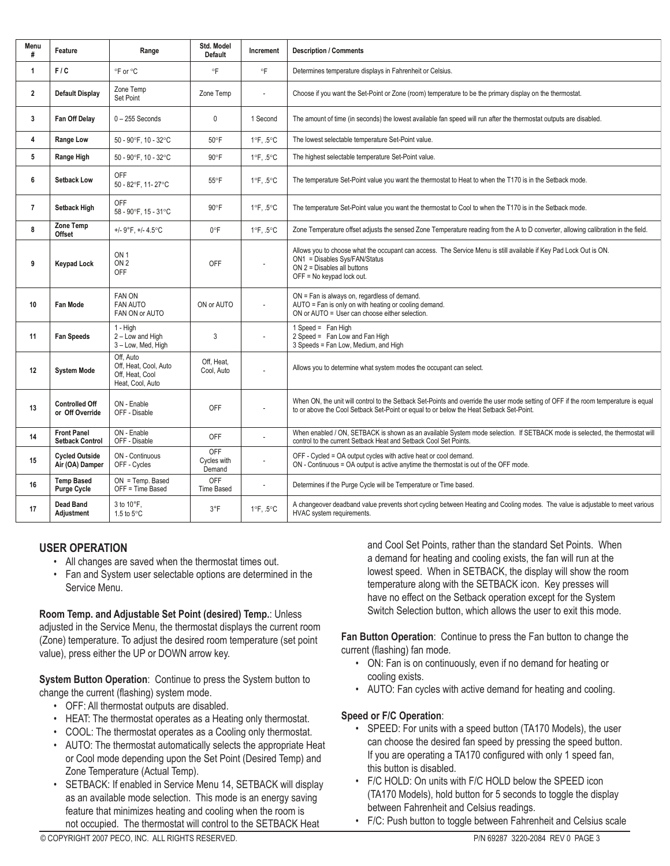| Menu<br>#      | Feature                                      | Range                                                                     | Std. Model<br><b>Default</b> | Increment                      | <b>Description / Comments</b>                                                                                                                                                                                                  |  |
|----------------|----------------------------------------------|---------------------------------------------------------------------------|------------------------------|--------------------------------|--------------------------------------------------------------------------------------------------------------------------------------------------------------------------------------------------------------------------------|--|
| $\mathbf{1}$   | F/C                                          | °F or °C                                                                  | °F                           | °F                             | Determines temperature displays in Fahrenheit or Celsius.                                                                                                                                                                      |  |
| $\overline{2}$ | <b>Default Display</b>                       | Zone Temp<br>Set Point                                                    | Zone Temp                    |                                | Choose if you want the Set-Point or Zone (room) temperature to be the primary display on the thermostat.                                                                                                                       |  |
| 3              | Fan Off Delay                                | $0 - 255$ Seconds                                                         | 0                            | 1 Second                       | The amount of time (in seconds) the lowest available fan speed will run after the thermostat outputs are disabled.                                                                                                             |  |
| 4              | Range Low                                    | 50 - 90°F, 10 - 32°C                                                      | 50°F                         | 1°F, .5°C                      | The lowest selectable temperature Set-Point value.                                                                                                                                                                             |  |
| 5              | Range High                                   | 50 - 90°F, 10 - 32°C                                                      | 90°F                         | $1^{\circ}$ F, .5 $^{\circ}$ C | The highest selectable temperature Set-Point value.                                                                                                                                                                            |  |
| 6              | <b>Setback Low</b>                           | <b>OFF</b><br>50 - 82°F, 11-27°C                                          | $55^{\circ}$ F               | $1^{\circ}$ F, .5 $^{\circ}$ C | The temperature Set-Point value you want the thermostat to Heat to when the T170 is in the Setback mode.                                                                                                                       |  |
| $\overline{7}$ | Setback High                                 | <b>OFF</b><br>58 - 90°F, 15 - 31°C                                        | $90^{\circ}$ F               | $1^{\circ}$ F, .5 $^{\circ}$ C | The temperature Set-Point value you want the thermostat to Cool to when the T170 is in the Setback mode.                                                                                                                       |  |
| 8              | Zone Temp<br><b>Offset</b>                   | +/- 9°F, +/- 4.5°C                                                        | $0^{\circ}F$                 | $1^{\circ}$ F, .5 $^{\circ}$ C | Zone Temperature offset adjusts the sensed Zone Temperature reading from the A to D converter, allowing calibration in the field.                                                                                              |  |
| 9              | <b>Keypad Lock</b>                           | ON <sub>1</sub><br>ON <sub>2</sub><br><b>OFF</b>                          | <b>OFF</b>                   |                                | Allows you to choose what the occupant can access. The Service Menu is still available if Key Pad Lock Out is ON.<br>ON1 = Disables Sys/FAN/Status<br>$ON$ 2 = Disables all buttons<br>OFF = No keypad lock out.               |  |
| 10             | Fan Mode                                     | FAN ON<br><b>FAN AUTO</b><br>FAN ON or AUTO                               | ON or AUTO                   |                                | ON = Fan is always on, regardless of demand.<br>AUTO = Fan is only on with heating or cooling demand.<br>ON or AUTO = User can choose either selection.                                                                        |  |
| 11             | <b>Fan Speeds</b>                            | 1 - High<br>2 - Low and High<br>3 - Low, Med, High                        | 3                            |                                | 1 Speed = Fan High<br>2 Speed = Fan Low and Fan High<br>3 Speeds = Fan Low, Medium, and High                                                                                                                                   |  |
| 12             | <b>System Mode</b>                           | Off. Auto<br>Off, Heat, Cool, Auto<br>Off, Heat, Cool<br>Heat. Cool. Auto | Off, Heat,<br>Cool, Auto     |                                | Allows you to determine what system modes the occupant can select.                                                                                                                                                             |  |
| 13             | <b>Controlled Off</b><br>or Off Override     | ON - Enable<br>OFF - Disable                                              | <b>OFF</b>                   |                                | When ON, the unit will control to the Setback Set-Points and override the user mode setting of OFF if the room temperature is equal<br>to or above the Cool Setback Set-Point or equal to or below the Heat Setback Set-Point. |  |
| 14             | <b>Front Panel</b><br><b>Setback Control</b> | ON - Enable<br>OFF - Disable                                              | OFF                          | L.                             | When enabled / ON, SETBACK is shown as an available System mode selection. If SETBACK mode is selected, the thermostat will<br>control to the current Setback Heat and Setback Cool Set Points.                                |  |
| 15             | <b>Cycled Outside</b><br>Air (OA) Damper     | ON - Continuous<br>OFF - Cycles                                           | OFF<br>Cycles with<br>Demand |                                | OFF - Cycled = OA output cycles with active heat or cool demand.<br>ON - Continuous = OA output is active anytime the thermostat is out of the OFF mode.                                                                       |  |
| 16             | <b>Temp Based</b><br>Purge Cycle             | ON = Temp. Based<br>OFF = Time Based                                      | OFF<br><b>Time Based</b>     | L,                             | Determines if the Purge Cycle will be Temperature or Time based.                                                                                                                                                               |  |
| 17             | <b>Dead Band</b><br>Adjustment               | 3 to 10°F.<br>1.5 to 5°C                                                  | $3^{\circ}F$                 | 1°F. .5°C                      | A changeover deadband value prevents short cycling between Heating and Cooling modes. The value is adjustable to meet various<br>HVAC system requirements.                                                                     |  |

## **USER OPERATION**

- All changes are saved when the thermostat times out.
- Fan and System user selectable options are determined in the Service Menu.

**Room Temp. and Adjustable Set Point (desired) Temp.**: Unless adjusted in the Service Menu, the thermostat displays the current room (Zone) temperature. To adjust the desired room temperature (set point value), press either the UP or DOWN arrow key.

**System Button Operation**: Continue to press the System button to change the current (flashing) system mode.

- OFF: All thermostat outputs are disabled.
- HEAT: The thermostat operates as a Heating only thermostat.
- COOL: The thermostat operates as a Cooling only thermostat. •
- AUTO: The thermostat automatically selects the appropriate Heat or Cool mode depending upon the Set Point (Desired Temp) and Zone Temperature (Actual Temp).
- SETBACK: If enabled in Service Menu 14, SETBACK will display as an available mode selection. This mode is an energy saving feature that minimizes heating and cooling when the room is not occupied. The thermostat will control to the SETBACK Heat •

and Cool Set Points, rather than the standard Set Points. When a demand for heating and cooling exists, the fan will run at the lowest speed. When in SETBACK, the display will show the room temperature along with the SETBACK icon. Key presses will have no effect on the Setback operation except for the System Switch Selection button, which allows the user to exit this mode.

**Fan Button Operation**: Continue to press the Fan button to change the current (flashing) fan mode.

- ON: Fan is on continuously, even if no demand for heating or cooling exists.
- AUTO: Fan cycles with active demand for heating and cooling. •

## **Speed or F/C Operation**:

- SPEED: For units with a speed button (TA170 Models), the user can choose the desired fan speed by pressing the speed button. If you are operating a TA170 configured with only 1 speed fan, this button is disabled.
- F/C HOLD: On units with F/C HOLD below the SPEED icon (TA170 Models), hold button for 5 seconds to toggle the display between Fahrenheit and Celsius readings.
- F/C: Push button to toggle between Fahrenheit and Celsius scale •